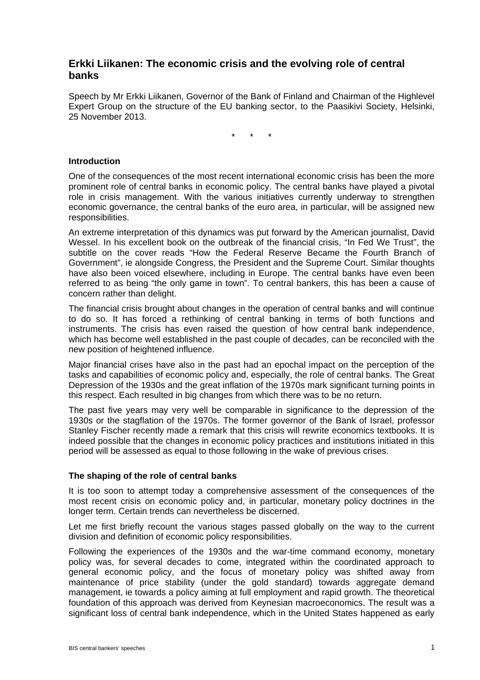# **Erkki Liikanen: The economic crisis and the evolving role of central banks**

Speech by Mr Erkki Liikanen, Governor of the Bank of Finland and Chairman of the Highlevel Expert Group on the structure of the EU banking sector, to the Paasikivi Society, Helsinki, 25 November 2013.

\* \* \*

## **Introduction**

One of the consequences of the most recent international economic crisis has been the more prominent role of central banks in economic policy. The central banks have played a pivotal role in crisis management. With the various initiatives currently underway to strengthen economic governance, the central banks of the euro area, in particular, will be assigned new responsibilities.

An extreme interpretation of this dynamics was put forward by the American journalist, David Wessel. In his excellent book on the outbreak of the financial crisis, "In Fed We Trust", the subtitle on the cover reads "How the Federal Reserve Became the Fourth Branch of Government", ie alongside Congress, the President and the Supreme Court. Similar thoughts have also been voiced elsewhere, including in Europe. The central banks have even been referred to as being "the only game in town". To central bankers, this has been a cause of concern rather than delight.

The financial crisis brought about changes in the operation of central banks and will continue to do so. It has forced a rethinking of central banking in terms of both functions and instruments. The crisis has even raised the question of how central bank independence, which has become well established in the past couple of decades, can be reconciled with the new position of heightened influence.

Major financial crises have also in the past had an epochal impact on the perception of the tasks and capabilities of economic policy and, especially, the role of central banks. The Great Depression of the 1930s and the great inflation of the 1970s mark significant turning points in this respect. Each resulted in big changes from which there was to be no return.

The past five years may very well be comparable in significance to the depression of the 1930s or the stagflation of the 1970s. The former governor of the Bank of Israel, professor Stanley Fischer recently made a remark that this crisis will rewrite economics textbooks. It is indeed possible that the changes in economic policy practices and institutions initiated in this period will be assessed as equal to those following in the wake of previous crises.

#### **The shaping of the role of central banks**

It is too soon to attempt today a comprehensive assessment of the consequences of the most recent crisis on economic policy and, in particular, monetary policy doctrines in the longer term. Certain trends can nevertheless be discerned.

Let me first briefly recount the various stages passed globally on the way to the current division and definition of economic policy responsibilities.

Following the experiences of the 1930s and the war-time command economy, monetary policy was, for several decades to come, integrated within the coordinated approach to general economic policy, and the focus of monetary policy was shifted away from maintenance of price stability (under the gold standard) towards aggregate demand management, ie towards a policy aiming at full employment and rapid growth. The theoretical foundation of this approach was derived from Keynesian macroeconomics. The result was a significant loss of central bank independence, which in the United States happened as early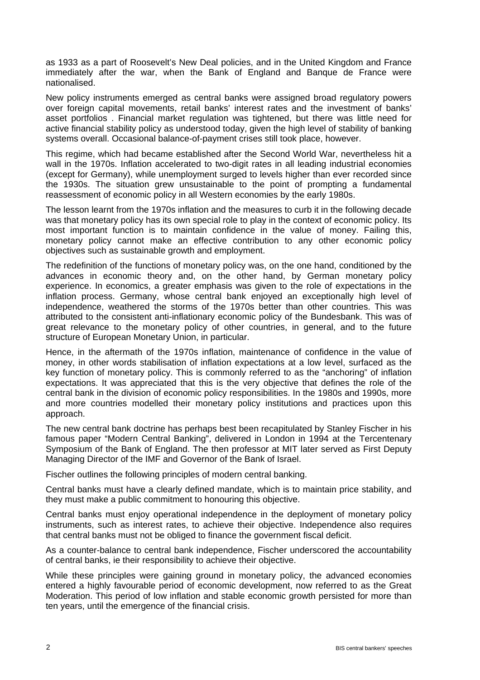as 1933 as a part of Roosevelt's New Deal policies, and in the United Kingdom and France immediately after the war, when the Bank of England and Banque de France were nationalised.

New policy instruments emerged as central banks were assigned broad regulatory powers over foreign capital movements, retail banks' interest rates and the investment of banks' asset portfolios . Financial market regulation was tightened, but there was little need for active financial stability policy as understood today, given the high level of stability of banking systems overall. Occasional balance-of-payment crises still took place, however.

This regime, which had became established after the Second World War, nevertheless hit a wall in the 1970s. Inflation accelerated to two-digit rates in all leading industrial economies (except for Germany), while unemployment surged to levels higher than ever recorded since the 1930s. The situation grew unsustainable to the point of prompting a fundamental reassessment of economic policy in all Western economies by the early 1980s.

The lesson learnt from the 1970s inflation and the measures to curb it in the following decade was that monetary policy has its own special role to play in the context of economic policy. Its most important function is to maintain confidence in the value of money. Failing this, monetary policy cannot make an effective contribution to any other economic policy objectives such as sustainable growth and employment.

The redefinition of the functions of monetary policy was, on the one hand, conditioned by the advances in economic theory and, on the other hand, by German monetary policy experience. In economics, a greater emphasis was given to the role of expectations in the inflation process. Germany, whose central bank enjoyed an exceptionally high level of independence, weathered the storms of the 1970s better than other countries. This was attributed to the consistent anti-inflationary economic policy of the Bundesbank. This was of great relevance to the monetary policy of other countries, in general, and to the future structure of European Monetary Union, in particular.

Hence, in the aftermath of the 1970s inflation, maintenance of confidence in the value of money, in other words stabilisation of inflation expectations at a low level, surfaced as the key function of monetary policy. This is commonly referred to as the "anchoring" of inflation expectations. It was appreciated that this is the very objective that defines the role of the central bank in the division of economic policy responsibilities. In the 1980s and 1990s, more and more countries modelled their monetary policy institutions and practices upon this approach.

The new central bank doctrine has perhaps best been recapitulated by Stanley Fischer in his famous paper "Modern Central Banking", delivered in London in 1994 at the Tercentenary Symposium of the Bank of England. The then professor at MIT later served as First Deputy Managing Director of the IMF and Governor of the Bank of Israel.

Fischer outlines the following principles of modern central banking.

Central banks must have a clearly defined mandate, which is to maintain price stability, and they must make a public commitment to honouring this objective.

Central banks must enjoy operational independence in the deployment of monetary policy instruments, such as interest rates, to achieve their objective. Independence also requires that central banks must not be obliged to finance the government fiscal deficit.

As a counter-balance to central bank independence, Fischer underscored the accountability of central banks, ie their responsibility to achieve their objective.

While these principles were gaining ground in monetary policy, the advanced economies entered a highly favourable period of economic development, now referred to as the Great Moderation. This period of low inflation and stable economic growth persisted for more than ten years, until the emergence of the financial crisis.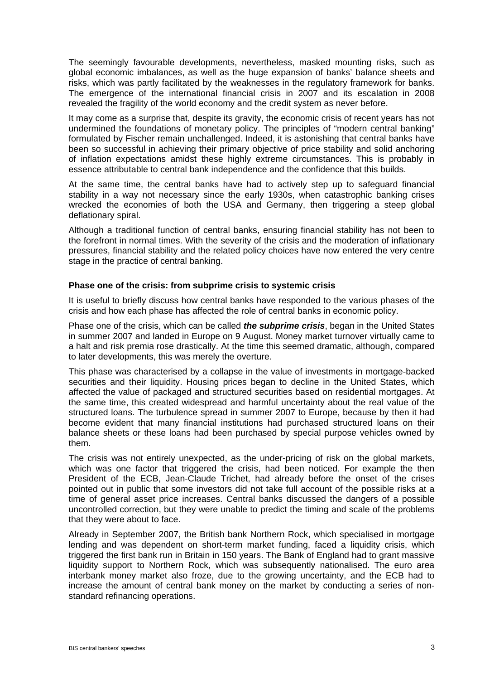The seemingly favourable developments, nevertheless, masked mounting risks, such as global economic imbalances, as well as the huge expansion of banks' balance sheets and risks, which was partly facilitated by the weaknesses in the regulatory framework for banks. The emergence of the international financial crisis in 2007 and its escalation in 2008 revealed the fragility of the world economy and the credit system as never before.

It may come as a surprise that, despite its gravity, the economic crisis of recent years has not undermined the foundations of monetary policy. The principles of "modern central banking" formulated by Fischer remain unchallenged. Indeed, it is astonishing that central banks have been so successful in achieving their primary objective of price stability and solid anchoring of inflation expectations amidst these highly extreme circumstances. This is probably in essence attributable to central bank independence and the confidence that this builds.

At the same time, the central banks have had to actively step up to safeguard financial stability in a way not necessary since the early 1930s, when catastrophic banking crises wrecked the economies of both the USA and Germany, then triggering a steep global deflationary spiral.

Although a traditional function of central banks, ensuring financial stability has not been to the forefront in normal times. With the severity of the crisis and the moderation of inflationary pressures, financial stability and the related policy choices have now entered the very centre stage in the practice of central banking.

### **Phase one of the crisis: from subprime crisis to systemic crisis**

It is useful to briefly discuss how central banks have responded to the various phases of the crisis and how each phase has affected the role of central banks in economic policy.

Phase one of the crisis, which can be called *the subprime crisis*, began in the United States in summer 2007 and landed in Europe on 9 August. Money market turnover virtually came to a halt and risk premia rose drastically. At the time this seemed dramatic, although, compared to later developments, this was merely the overture.

This phase was characterised by a collapse in the value of investments in mortgage-backed securities and their liquidity. Housing prices began to decline in the United States, which affected the value of packaged and structured securities based on residential mortgages. At the same time, this created widespread and harmful uncertainty about the real value of the structured loans. The turbulence spread in summer 2007 to Europe, because by then it had become evident that many financial institutions had purchased structured loans on their balance sheets or these loans had been purchased by special purpose vehicles owned by them.

The crisis was not entirely unexpected, as the under-pricing of risk on the global markets, which was one factor that triggered the crisis, had been noticed. For example the then President of the ECB, Jean-Claude Trichet, had already before the onset of the crises pointed out in public that some investors did not take full account of the possible risks at a time of general asset price increases. Central banks discussed the dangers of a possible uncontrolled correction, but they were unable to predict the timing and scale of the problems that they were about to face.

Already in September 2007, the British bank Northern Rock, which specialised in mortgage lending and was dependent on short-term market funding, faced a liquidity crisis, which triggered the first bank run in Britain in 150 years. The Bank of England had to grant massive liquidity support to Northern Rock, which was subsequently nationalised. The euro area interbank money market also froze, due to the growing uncertainty, and the ECB had to increase the amount of central bank money on the market by conducting a series of nonstandard refinancing operations.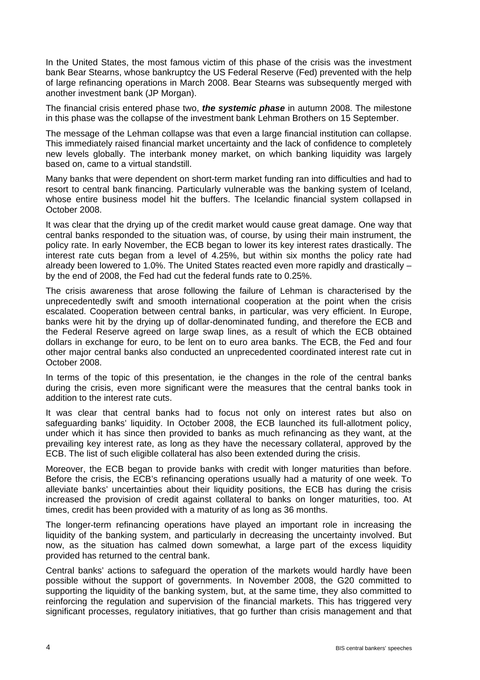In the United States, the most famous victim of this phase of the crisis was the investment bank Bear Stearns, whose bankruptcy the US Federal Reserve (Fed) prevented with the help of large refinancing operations in March 2008. Bear Stearns was subsequently merged with another investment bank (JP Morgan).

The financial crisis entered phase two, *the systemic phase* in autumn 2008. The milestone in this phase was the collapse of the investment bank Lehman Brothers on 15 September.

The message of the Lehman collapse was that even a large financial institution can collapse. This immediately raised financial market uncertainty and the lack of confidence to completely new levels globally. The interbank money market, on which banking liquidity was largely based on, came to a virtual standstill.

Many banks that were dependent on short-term market funding ran into difficulties and had to resort to central bank financing. Particularly vulnerable was the banking system of Iceland, whose entire business model hit the buffers. The Icelandic financial system collapsed in October 2008.

It was clear that the drying up of the credit market would cause great damage. One way that central banks responded to the situation was, of course, by using their main instrument, the policy rate. In early November, the ECB began to lower its key interest rates drastically. The interest rate cuts began from a level of 4.25%, but within six months the policy rate had already been lowered to 1.0%. The United States reacted even more rapidly and drastically – by the end of 2008, the Fed had cut the federal funds rate to 0.25%.

The crisis awareness that arose following the failure of Lehman is characterised by the unprecedentedly swift and smooth international cooperation at the point when the crisis escalated. Cooperation between central banks, in particular, was very efficient. In Europe, banks were hit by the drying up of dollar-denominated funding, and therefore the ECB and the Federal Reserve agreed on large swap lines, as a result of which the ECB obtained dollars in exchange for euro, to be lent on to euro area banks. The ECB, the Fed and four other major central banks also conducted an unprecedented coordinated interest rate cut in October 2008.

In terms of the topic of this presentation, ie the changes in the role of the central banks during the crisis, even more significant were the measures that the central banks took in addition to the interest rate cuts.

It was clear that central banks had to focus not only on interest rates but also on safeguarding banks' liquidity. In October 2008, the ECB launched its full-allotment policy, under which it has since then provided to banks as much refinancing as they want, at the prevailing key interest rate, as long as they have the necessary collateral, approved by the ECB. The list of such eligible collateral has also been extended during the crisis.

Moreover, the ECB began to provide banks with credit with longer maturities than before. Before the crisis, the ECB's refinancing operations usually had a maturity of one week. To alleviate banks' uncertainties about their liquidity positions, the ECB has during the crisis increased the provision of credit against collateral to banks on longer maturities, too. At times, credit has been provided with a maturity of as long as 36 months.

The longer-term refinancing operations have played an important role in increasing the liquidity of the banking system, and particularly in decreasing the uncertainty involved. But now, as the situation has calmed down somewhat, a large part of the excess liquidity provided has returned to the central bank.

Central banks' actions to safeguard the operation of the markets would hardly have been possible without the support of governments. In November 2008, the G20 committed to supporting the liquidity of the banking system, but, at the same time, they also committed to reinforcing the regulation and supervision of the financial markets. This has triggered very significant processes, regulatory initiatives, that go further than crisis management and that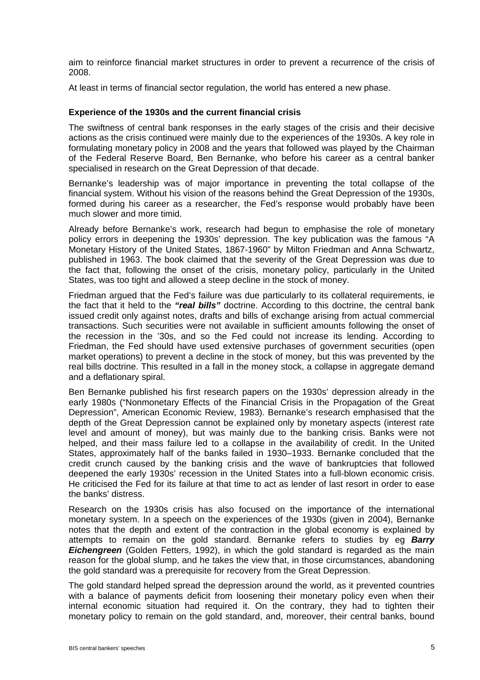aim to reinforce financial market structures in order to prevent a recurrence of the crisis of 2008.

At least in terms of financial sector regulation, the world has entered a new phase.

### **Experience of the 1930s and the current financial crisis**

The swiftness of central bank responses in the early stages of the crisis and their decisive actions as the crisis continued were mainly due to the experiences of the 1930s. A key role in formulating monetary policy in 2008 and the years that followed was played by the Chairman of the Federal Reserve Board, Ben Bernanke, who before his career as a central banker specialised in research on the Great Depression of that decade.

Bernanke's leadership was of major importance in preventing the total collapse of the financial system. Without his vision of the reasons behind the Great Depression of the 1930s, formed during his career as a researcher, the Fed's response would probably have been much slower and more timid.

Already before Bernanke's work, research had begun to emphasise the role of monetary policy errors in deepening the 1930s' depression. The key publication was the famous "A Monetary History of the United States, 1867-1960" by Milton Friedman and Anna Schwartz, published in 1963. The book claimed that the severity of the Great Depression was due to the fact that, following the onset of the crisis, monetary policy, particularly in the United States, was too tight and allowed a steep decline in the stock of money.

Friedman argued that the Fed's failure was due particularly to its collateral requirements, ie the fact that it held to the *"real bills"* doctrine. According to this doctrine, the central bank issued credit only against notes, drafts and bills of exchange arising from actual commercial transactions. Such securities were not available in sufficient amounts following the onset of the recession in the '30s, and so the Fed could not increase its lending. According to Friedman, the Fed should have used extensive purchases of government securities (open market operations) to prevent a decline in the stock of money, but this was prevented by the real bills doctrine. This resulted in a fall in the money stock, a collapse in aggregate demand and a deflationary spiral.

Ben Bernanke published his first research papers on the 1930s' depression already in the early 1980s ("Nonmonetary Effects of the Financial Crisis in the Propagation of the Great Depression", American Economic Review, 1983). Bernanke's research emphasised that the depth of the Great Depression cannot be explained only by monetary aspects (interest rate level and amount of money), but was mainly due to the banking crisis. Banks were not helped, and their mass failure led to a collapse in the availability of credit. In the United States, approximately half of the banks failed in 1930–1933. Bernanke concluded that the credit crunch caused by the banking crisis and the wave of bankruptcies that followed deepened the early 1930s' recession in the United States into a full-blown economic crisis. He criticised the Fed for its failure at that time to act as lender of last resort in order to ease the banks' distress.

Research on the 1930s crisis has also focused on the importance of the international monetary system. In a speech on the experiences of the 1930s (given in 2004), Bernanke notes that the depth and extent of the contraction in the global economy is explained by attempts to remain on the gold standard. Bernanke refers to studies by eg *Barry Eichengreen* (Golden Fetters, 1992), in which the gold standard is regarded as the main reason for the global slump, and he takes the view that, in those circumstances, abandoning the gold standard was a prerequisite for recovery from the Great Depression.

The gold standard helped spread the depression around the world, as it prevented countries with a balance of payments deficit from loosening their monetary policy even when their internal economic situation had required it. On the contrary, they had to tighten their monetary policy to remain on the gold standard, and, moreover, their central banks, bound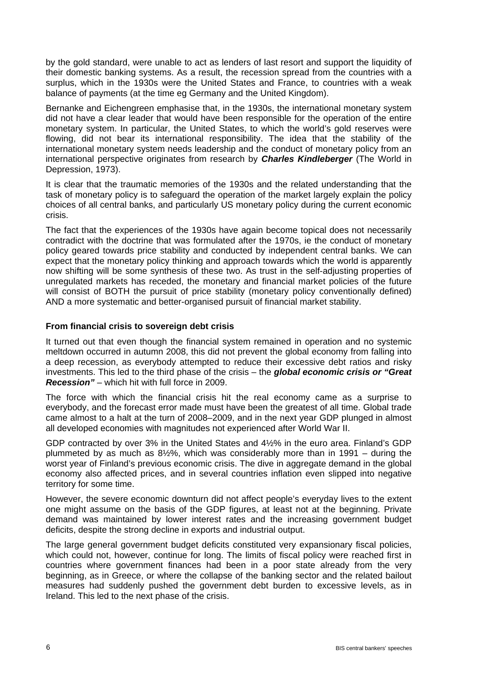by the gold standard, were unable to act as lenders of last resort and support the liquidity of their domestic banking systems. As a result, the recession spread from the countries with a surplus, which in the 1930s were the United States and France, to countries with a weak balance of payments (at the time eg Germany and the United Kingdom).

Bernanke and Eichengreen emphasise that, in the 1930s, the international monetary system did not have a clear leader that would have been responsible for the operation of the entire monetary system. In particular, the United States, to which the world's gold reserves were flowing, did not bear its international responsibility. The idea that the stability of the international monetary system needs leadership and the conduct of monetary policy from an international perspective originates from research by *Charles Kindleberger* (The World in Depression, 1973).

It is clear that the traumatic memories of the 1930s and the related understanding that the task of monetary policy is to safeguard the operation of the market largely explain the policy choices of all central banks, and particularly US monetary policy during the current economic crisis.

The fact that the experiences of the 1930s have again become topical does not necessarily contradict with the doctrine that was formulated after the 1970s, ie the conduct of monetary policy geared towards price stability and conducted by independent central banks. We can expect that the monetary policy thinking and approach towards which the world is apparently now shifting will be some synthesis of these two. As trust in the self-adjusting properties of unregulated markets has receded, the monetary and financial market policies of the future will consist of BOTH the pursuit of price stability (monetary policy conventionally defined) AND a more systematic and better-organised pursuit of financial market stability.

## **From financial crisis to sovereign debt crisis**

It turned out that even though the financial system remained in operation and no systemic meltdown occurred in autumn 2008, this did not prevent the global economy from falling into a deep recession, as everybody attempted to reduce their excessive debt ratios and risky investments. This led to the third phase of the crisis – the *global economic crisis or "Great Recession"* – which hit with full force in 2009.

The force with which the financial crisis hit the real economy came as a surprise to everybody, and the forecast error made must have been the greatest of all time. Global trade came almost to a halt at the turn of 2008–2009, and in the next year GDP plunged in almost all developed economies with magnitudes not experienced after World War II.

GDP contracted by over 3% in the United States and 4½% in the euro area. Finland's GDP plummeted by as much as 8½%, which was considerably more than in 1991 – during the worst year of Finland's previous economic crisis. The dive in aggregate demand in the global economy also affected prices, and in several countries inflation even slipped into negative territory for some time.

However, the severe economic downturn did not affect people's everyday lives to the extent one might assume on the basis of the GDP figures, at least not at the beginning. Private demand was maintained by lower interest rates and the increasing government budget deficits, despite the strong decline in exports and industrial output.

The large general government budget deficits constituted very expansionary fiscal policies, which could not, however, continue for long. The limits of fiscal policy were reached first in countries where government finances had been in a poor state already from the very beginning, as in Greece, or where the collapse of the banking sector and the related bailout measures had suddenly pushed the government debt burden to excessive levels, as in Ireland. This led to the next phase of the crisis.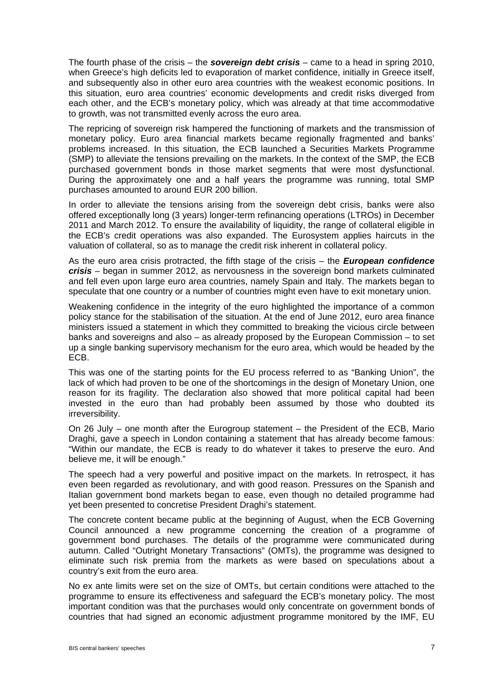The fourth phase of the crisis – the *sovereign debt crisis* – came to a head in spring 2010, when Greece's high deficits led to evaporation of market confidence, initially in Greece itself, and subsequently also in other euro area countries with the weakest economic positions. In this situation, euro area countries' economic developments and credit risks diverged from each other, and the ECB's monetary policy, which was already at that time accommodative to growth, was not transmitted evenly across the euro area.

The repricing of sovereign risk hampered the functioning of markets and the transmission of monetary policy. Euro area financial markets became regionally fragmented and banks' problems increased. In this situation, the ECB launched a Securities Markets Programme (SMP) to alleviate the tensions prevailing on the markets. In the context of the SMP, the ECB purchased government bonds in those market segments that were most dysfunctional. During the approximately one and a half years the programme was running, total SMP purchases amounted to around EUR 200 billion.

In order to alleviate the tensions arising from the sovereign debt crisis, banks were also offered exceptionally long (3 years) longer-term refinancing operations (LTROs) in December 2011 and March 2012. To ensure the availability of liquidity, the range of collateral eligible in the ECB's credit operations was also expanded. The Eurosystem applies haircuts in the valuation of collateral, so as to manage the credit risk inherent in collateral policy.

As the euro area crisis protracted, the fifth stage of the crisis – the *European confidence crisis* – began in summer 2012, as nervousness in the sovereign bond markets culminated and fell even upon large euro area countries, namely Spain and Italy. The markets began to speculate that one country or a number of countries might even have to exit monetary union.

Weakening confidence in the integrity of the euro highlighted the importance of a common policy stance for the stabilisation of the situation. At the end of June 2012, euro area finance ministers issued a statement in which they committed to breaking the vicious circle between banks and sovereigns and also – as already proposed by the European Commission – to set up a single banking supervisory mechanism for the euro area, which would be headed by the ECB.

This was one of the starting points for the EU process referred to as "Banking Union", the lack of which had proven to be one of the shortcomings in the design of Monetary Union, one reason for its fragility. The declaration also showed that more political capital had been invested in the euro than had probably been assumed by those who doubted its irreversibility.

On 26 July – one month after the Eurogroup statement – the President of the ECB, Mario Draghi, gave a speech in London containing a statement that has already become famous: "Within our mandate, the ECB is ready to do whatever it takes to preserve the euro. And believe me, it will be enough."

The speech had a very powerful and positive impact on the markets. In retrospect, it has even been regarded as revolutionary, and with good reason. Pressures on the Spanish and Italian government bond markets began to ease, even though no detailed programme had yet been presented to concretise President Draghi's statement.

The concrete content became public at the beginning of August, when the ECB Governing Council announced a new programme concerning the creation of a programme of government bond purchases. The details of the programme were communicated during autumn. Called "Outright Monetary Transactions" (OMTs), the programme was designed to eliminate such risk premia from the markets as were based on speculations about a country's exit from the euro area.

No ex ante limits were set on the size of OMTs, but certain conditions were attached to the programme to ensure its effectiveness and safeguard the ECB's monetary policy. The most important condition was that the purchases would only concentrate on government bonds of countries that had signed an economic adjustment programme monitored by the IMF, EU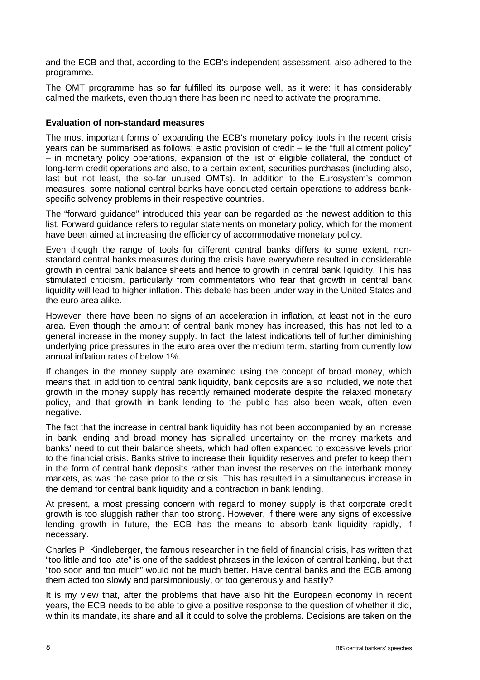and the ECB and that, according to the ECB's independent assessment, also adhered to the programme.

The OMT programme has so far fulfilled its purpose well, as it were: it has considerably calmed the markets, even though there has been no need to activate the programme.

### **Evaluation of non-standard measures**

The most important forms of expanding the ECB's monetary policy tools in the recent crisis years can be summarised as follows: elastic provision of credit – ie the "full allotment policy" – in monetary policy operations, expansion of the list of eligible collateral, the conduct of long-term credit operations and also, to a certain extent, securities purchases (including also, last but not least, the so-far unused OMTs). In addition to the Eurosystem's common measures, some national central banks have conducted certain operations to address bankspecific solvency problems in their respective countries.

The "forward guidance" introduced this year can be regarded as the newest addition to this list. Forward guidance refers to regular statements on monetary policy, which for the moment have been aimed at increasing the efficiency of accommodative monetary policy.

Even though the range of tools for different central banks differs to some extent, nonstandard central banks measures during the crisis have everywhere resulted in considerable growth in central bank balance sheets and hence to growth in central bank liquidity. This has stimulated criticism, particularly from commentators who fear that growth in central bank liquidity will lead to higher inflation. This debate has been under way in the United States and the euro area alike.

However, there have been no signs of an acceleration in inflation, at least not in the euro area. Even though the amount of central bank money has increased, this has not led to a general increase in the money supply. In fact, the latest indications tell of further diminishing underlying price pressures in the euro area over the medium term, starting from currently low annual inflation rates of below 1%.

If changes in the money supply are examined using the concept of broad money, which means that, in addition to central bank liquidity, bank deposits are also included, we note that growth in the money supply has recently remained moderate despite the relaxed monetary policy, and that growth in bank lending to the public has also been weak, often even negative.

The fact that the increase in central bank liquidity has not been accompanied by an increase in bank lending and broad money has signalled uncertainty on the money markets and banks' need to cut their balance sheets, which had often expanded to excessive levels prior to the financial crisis. Banks strive to increase their liquidity reserves and prefer to keep them in the form of central bank deposits rather than invest the reserves on the interbank money markets, as was the case prior to the crisis. This has resulted in a simultaneous increase in the demand for central bank liquidity and a contraction in bank lending.

At present, a most pressing concern with regard to money supply is that corporate credit growth is too sluggish rather than too strong. However, if there were any signs of excessive lending growth in future, the ECB has the means to absorb bank liquidity rapidly, if necessary.

Charles P. Kindleberger, the famous researcher in the field of financial crisis, has written that "too little and too late" is one of the saddest phrases in the lexicon of central banking, but that "too soon and too much" would not be much better. Have central banks and the ECB among them acted too slowly and parsimoniously, or too generously and hastily?

It is my view that, after the problems that have also hit the European economy in recent years, the ECB needs to be able to give a positive response to the question of whether it did, within its mandate, its share and all it could to solve the problems. Decisions are taken on the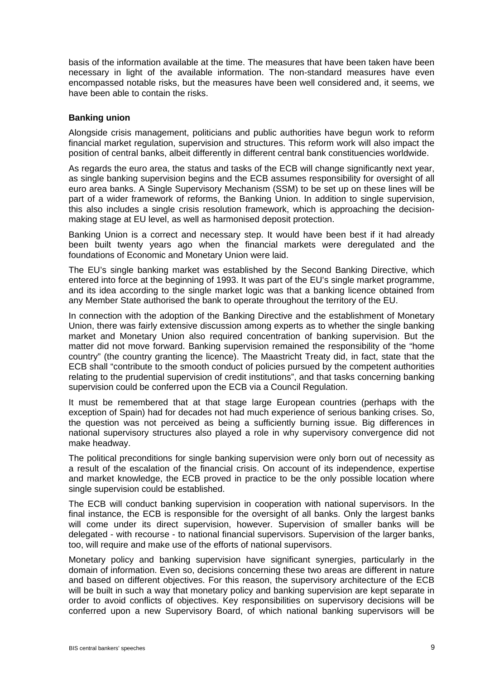basis of the information available at the time. The measures that have been taken have been necessary in light of the available information. The non-standard measures have even encompassed notable risks, but the measures have been well considered and, it seems, we have been able to contain the risks.

## **Banking union**

Alongside crisis management, politicians and public authorities have begun work to reform financial market regulation, supervision and structures. This reform work will also impact the position of central banks, albeit differently in different central bank constituencies worldwide.

As regards the euro area, the status and tasks of the ECB will change significantly next year, as single banking supervision begins and the ECB assumes responsibility for oversight of all euro area banks. A Single Supervisory Mechanism (SSM) to be set up on these lines will be part of a wider framework of reforms, the Banking Union. In addition to single supervision, this also includes a single crisis resolution framework, which is approaching the decisionmaking stage at EU level, as well as harmonised deposit protection.

Banking Union is a correct and necessary step. It would have been best if it had already been built twenty years ago when the financial markets were deregulated and the foundations of Economic and Monetary Union were laid.

The EU's single banking market was established by the Second Banking Directive, which entered into force at the beginning of 1993. It was part of the EU's single market programme, and its idea according to the single market logic was that a banking licence obtained from any Member State authorised the bank to operate throughout the territory of the EU.

In connection with the adoption of the Banking Directive and the establishment of Monetary Union, there was fairly extensive discussion among experts as to whether the single banking market and Monetary Union also required concentration of banking supervision. But the matter did not move forward. Banking supervision remained the responsibility of the "home country" (the country granting the licence). The Maastricht Treaty did, in fact, state that the ECB shall "contribute to the smooth conduct of policies pursued by the competent authorities relating to the prudential supervision of credit institutions", and that tasks concerning banking supervision could be conferred upon the ECB via a Council Regulation.

It must be remembered that at that stage large European countries (perhaps with the exception of Spain) had for decades not had much experience of serious banking crises. So, the question was not perceived as being a sufficiently burning issue. Big differences in national supervisory structures also played a role in why supervisory convergence did not make headway.

The political preconditions for single banking supervision were only born out of necessity as a result of the escalation of the financial crisis. On account of its independence, expertise and market knowledge, the ECB proved in practice to be the only possible location where single supervision could be established.

The ECB will conduct banking supervision in cooperation with national supervisors. In the final instance, the ECB is responsible for the oversight of all banks. Only the largest banks will come under its direct supervision, however. Supervision of smaller banks will be delegated - with recourse - to national financial supervisors. Supervision of the larger banks, too, will require and make use of the efforts of national supervisors.

Monetary policy and banking supervision have significant synergies, particularly in the domain of information. Even so, decisions concerning these two areas are different in nature and based on different objectives. For this reason, the supervisory architecture of the ECB will be built in such a way that monetary policy and banking supervision are kept separate in order to avoid conflicts of objectives. Key responsibilities on supervisory decisions will be conferred upon a new Supervisory Board, of which national banking supervisors will be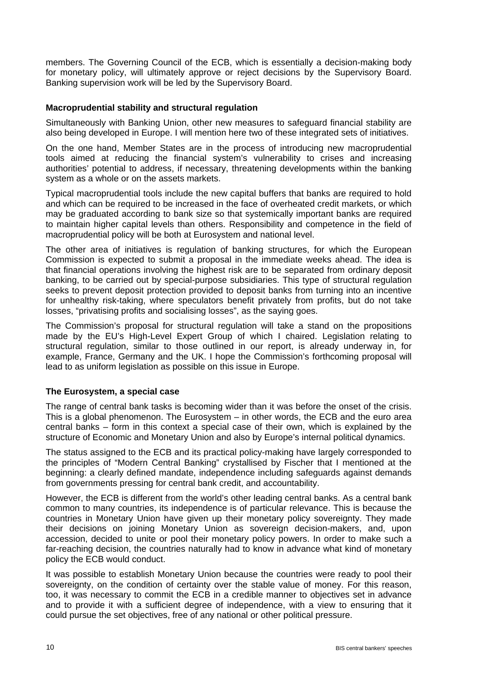members. The Governing Council of the ECB, which is essentially a decision-making body for monetary policy, will ultimately approve or reject decisions by the Supervisory Board. Banking supervision work will be led by the Supervisory Board.

## **Macroprudential stability and structural regulation**

Simultaneously with Banking Union, other new measures to safeguard financial stability are also being developed in Europe. I will mention here two of these integrated sets of initiatives.

On the one hand, Member States are in the process of introducing new macroprudential tools aimed at reducing the financial system's vulnerability to crises and increasing authorities' potential to address, if necessary, threatening developments within the banking system as a whole or on the assets markets.

Typical macroprudential tools include the new capital buffers that banks are required to hold and which can be required to be increased in the face of overheated credit markets, or which may be graduated according to bank size so that systemically important banks are required to maintain higher capital levels than others. Responsibility and competence in the field of macroprudential policy will be both at Eurosystem and national level.

The other area of initiatives is regulation of banking structures, for which the European Commission is expected to submit a proposal in the immediate weeks ahead. The idea is that financial operations involving the highest risk are to be separated from ordinary deposit banking, to be carried out by special-purpose subsidiaries. This type of structural regulation seeks to prevent deposit protection provided to deposit banks from turning into an incentive for unhealthy risk-taking, where speculators benefit privately from profits, but do not take losses, "privatising profits and socialising losses", as the saying goes.

The Commission's proposal for structural regulation will take a stand on the propositions made by the EU's High-Level Expert Group of which I chaired. Legislation relating to structural regulation, similar to those outlined in our report, is already underway in, for example, France, Germany and the UK. I hope the Commission's forthcoming proposal will lead to as uniform legislation as possible on this issue in Europe.

## **The Eurosystem, a special case**

The range of central bank tasks is becoming wider than it was before the onset of the crisis. This is a global phenomenon. The Eurosystem – in other words, the ECB and the euro area central banks – form in this context a special case of their own, which is explained by the structure of Economic and Monetary Union and also by Europe's internal political dynamics.

The status assigned to the ECB and its practical policy-making have largely corresponded to the principles of "Modern Central Banking" crystallised by Fischer that I mentioned at the beginning: a clearly defined mandate, independence including safeguards against demands from governments pressing for central bank credit, and accountability.

However, the ECB is different from the world's other leading central banks. As a central bank common to many countries, its independence is of particular relevance. This is because the countries in Monetary Union have given up their monetary policy sovereignty. They made their decisions on joining Monetary Union as sovereign decision-makers, and, upon accession, decided to unite or pool their monetary policy powers. In order to make such a far-reaching decision, the countries naturally had to know in advance what kind of monetary policy the ECB would conduct.

It was possible to establish Monetary Union because the countries were ready to pool their sovereignty, on the condition of certainty over the stable value of money. For this reason, too, it was necessary to commit the ECB in a credible manner to objectives set in advance and to provide it with a sufficient degree of independence, with a view to ensuring that it could pursue the set objectives, free of any national or other political pressure.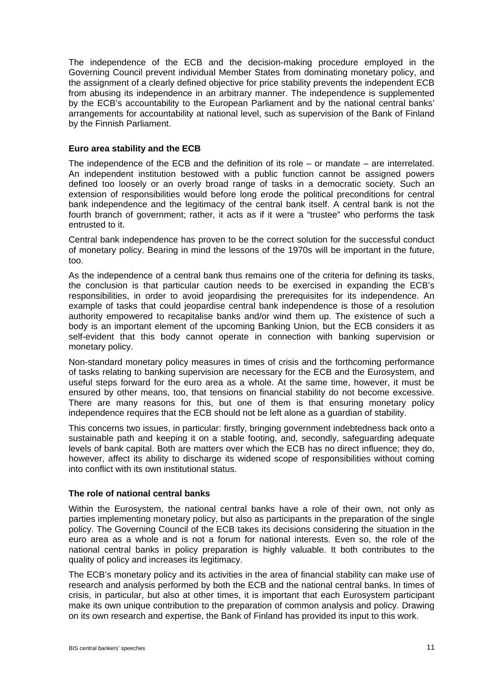The independence of the ECB and the decision-making procedure employed in the Governing Council prevent individual Member States from dominating monetary policy, and the assignment of a clearly defined objective for price stability prevents the independent ECB from abusing its independence in an arbitrary manner. The independence is supplemented by the ECB's accountability to the European Parliament and by the national central banks' arrangements for accountability at national level, such as supervision of the Bank of Finland by the Finnish Parliament.

#### **Euro area stability and the ECB**

The independence of the ECB and the definition of its role  $-$  or mandate  $-$  are interrelated. An independent institution bestowed with a public function cannot be assigned powers defined too loosely or an overly broad range of tasks in a democratic society. Such an extension of responsibilities would before long erode the political preconditions for central bank independence and the legitimacy of the central bank itself. A central bank is not the fourth branch of government; rather, it acts as if it were a "trustee" who performs the task entrusted to it.

Central bank independence has proven to be the correct solution for the successful conduct of monetary policy. Bearing in mind the lessons of the 1970s will be important in the future, too.

As the independence of a central bank thus remains one of the criteria for defining its tasks, the conclusion is that particular caution needs to be exercised in expanding the ECB's responsibilities, in order to avoid jeopardising the prerequisites for its independence. An example of tasks that could jeopardise central bank independence is those of a resolution authority empowered to recapitalise banks and/or wind them up. The existence of such a body is an important element of the upcoming Banking Union, but the ECB considers it as self-evident that this body cannot operate in connection with banking supervision or monetary policy.

Non-standard monetary policy measures in times of crisis and the forthcoming performance of tasks relating to banking supervision are necessary for the ECB and the Eurosystem, and useful steps forward for the euro area as a whole. At the same time, however, it must be ensured by other means, too, that tensions on financial stability do not become excessive. There are many reasons for this, but one of them is that ensuring monetary policy independence requires that the ECB should not be left alone as a guardian of stability.

This concerns two issues, in particular: firstly, bringing government indebtedness back onto a sustainable path and keeping it on a stable footing, and, secondly, safeguarding adequate levels of bank capital. Both are matters over which the ECB has no direct influence; they do, however, affect its ability to discharge its widened scope of responsibilities without coming into conflict with its own institutional status.

## **The role of national central banks**

Within the Eurosystem, the national central banks have a role of their own, not only as parties implementing monetary policy, but also as participants in the preparation of the single policy. The Governing Council of the ECB takes its decisions considering the situation in the euro area as a whole and is not a forum for national interests. Even so, the role of the national central banks in policy preparation is highly valuable. It both contributes to the quality of policy and increases its legitimacy.

The ECB's monetary policy and its activities in the area of financial stability can make use of research and analysis performed by both the ECB and the national central banks. In times of crisis, in particular, but also at other times, it is important that each Eurosystem participant make its own unique contribution to the preparation of common analysis and policy. Drawing on its own research and expertise, the Bank of Finland has provided its input to this work.